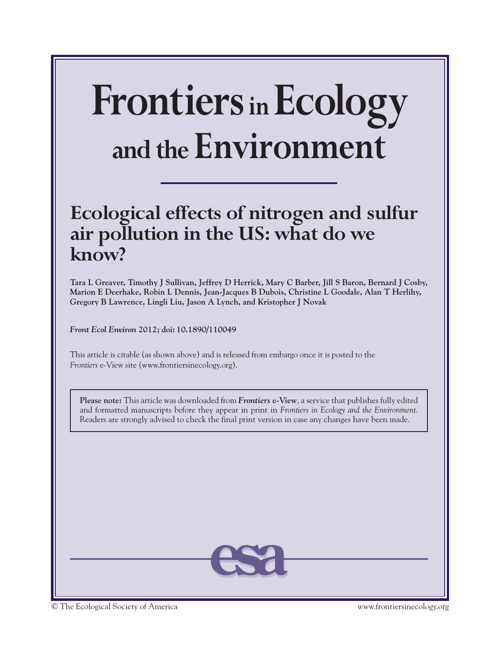# **FrontiersinEcology and the Environment**

## **Ecological effects of nitrogen and sulfur air pollution in the US: what do we know?**

**Tara L Greaver, Timothy J Sullivan, Jeffrey D Herrick, Mary C Barber, Jill S Baron, Bernard J Cosby, Marion E Deerhake, Robin L Dennis, Jean-Jacques B Dubois, Christine L Goodale, Alan T Herlihy, Gregory B Lawrence, Lingli Liu, Jason A Lynch, and Kristopher J Novak**

*Front Ecol Environ* **2012; doi: 10.1890/110049** 

This article is citable (as shown above) and is released from embargo once it is posted to the *Frontiers* e-View site (www.frontiersinecology.org).

**Please note:** This article was downloaded from *Frontiers* **e-View**, a service that publishes fully edited and formatted manuscripts before they appear in print in *Frontiers in Ecology and the Environment*. Readers are strongly advised to check the final print version in case any changes have been made.



© The Ecological Society of America www.frontiersinecology.org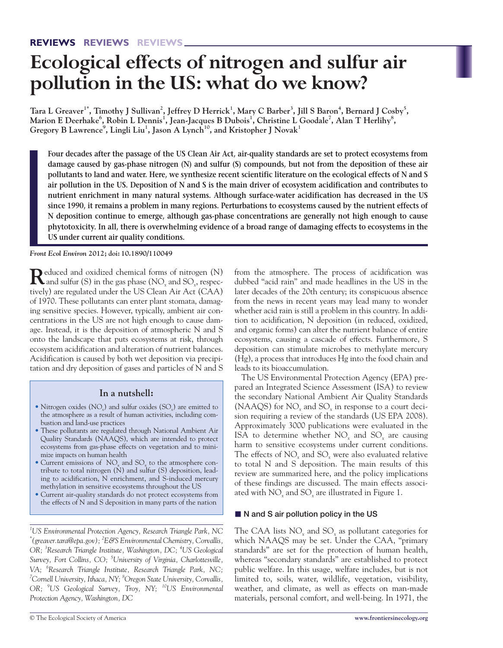## **Ecological effects of nitrogen and sulfur air pollution in the US: what do we know?**

 $\pi$ ara L Greaver $^1^*$ , Timothy J Sullivan $^2$ , Jeffrey D Herrick $^1$ , Mary C Barber $^3$ , Jill S Baron $^4$ , Bernard J Cosby $^5$ , Marion E Deerhake<sup>6</sup>, Robin L Dennis<sup>1</sup>, Jean-Jacques B Dubois<sup>1</sup>, Christine L Goodale<sup>7</sup>, Alan T Herlihy<sup>8</sup>,  $\rm{Gregory}$   $\rm{B}$  Lawrence $\rm^9$ , Lingli Liu $\rm^1$ , Jason  $\rm{A}$  Lynch $\rm^{10}$ , and Kristopher J Novak $\rm^1$ 

**Four decades after the passage of the US Clean Air Act, air-quality standards are set to protect ecosystems from damage caused by gas-phase nitrogen (N) and sulfur (S) compounds, but not from the deposition of these air pollutants to land and water. Here, we synthesize recent scientific literature on the ecological effects of N and S air pollution in the US. Deposition of N and S is the main driver of ecosystem acidification and contributes to nutrient enrichment in many natural systems. Although surface-water acidification has decreased in the US since 1990, it remains a problem in many regions. Perturbations to ecosystems caused by the nutrient effects of N deposition continue to emerge, although gas-phase concentrations are generally not high enough to cause phytotoxicity. In all, there is overwhelming evidence of a broad range of damaging effects to ecosystems in the US under current air quality conditions.** 

*Front Ecol Environ* **2012; doi: 10.1890/110049**

**R**educed and oxidized chemical forms of nitrogen (N) and sulfur (S) in the gas phase (NO*<sup>x</sup>* and SO*x*, respectively) are regulated under the US Clean Air Act (CAA) of 1970. These pollutants can enter plant stomata, damaging sensitive species. However, typically, ambient air concentrations in the US are not high enough to cause damage. Instead, it is the deposition of atmospheric N and S onto the landscape that puts ecosystems at risk, through ecosystem acidification and alteration of nutrient balances. Acidification is caused by both wet deposition via precipitation and dry deposition of gases and particles of N and S

### **In a nutshell:**

- Nitrogen oxides (NO*x*) and sulfur oxides (SO*x*) are emitted to the atmosphere as a result of human activities, including combustion and land-use practices
- These pollutants are regulated through National Ambient Air Quality Standards (NAAQS), which are intended to protect ecosystems from gas-phase effects on vegetation and to minimize impacts on human health
- Current emissions of  $NO_x$  and  $SO_x$  to the atmosphere contribute to total nitrogen  $(N)$  and sulfur  $(S)$  deposition, leading to acidification, N enrichment, and S-induced mercury methylation in sensitive ecosystems throughout the US
- Current air-quality standards do not protect ecosystems from the effects of N and S deposition in many parts of the nation

*1 US Environmental Protection Agency, Research Triangle Park, NC \* (greaver.tara@epa.gov); 2 E&S Environmental Chemistry, Corvallis, OR; <sup>3</sup> Research Triangle Institute, Washington, DC; <sup>4</sup> US Geological Survey, Fort Collins, CO; <sup>5</sup> University of Virginia, Charlottesville, VA; <sup>6</sup> Research Triangle Institute, Research Triangle Park, NC; 7 Cornell University, Ithaca, NY; 8 Oregon State University, Corvallis, OR; <sup>9</sup> US Geological Survey, Troy, NY; 10US Environmental Protection Agency, Washington, DC*

from the atmosphere. The process of acidification was dubbed "acid rain" and made headlines in the US in the later decades of the 20th century; its conspicuous absence from the news in recent years may lead many to wonder whether acid rain is still a problem in this country. In addition to acidification, N deposition (in reduced, oxidized, and organic forms) can alter the nutrient balance of entire ecosystems, causing a cascade of effects. Furthermore, S deposition can stimulate microbes to methylate mercury (Hg), a process that introduces Hg into the food chain and leads to its bioaccumulation.

The US Environmental Protection Agency (EPA) prepared an Integrated Science Assessment (ISA) to review the secondary National Ambient Air Quality Standards (NAAQS) for NO*<sup>x</sup>* and SO*<sup>x</sup>* in response to a court decision requiring a review of the standards (US EPA 2008). Approximately 3000 publications were evaluated in the ISA to determine whether NO*<sup>x</sup>* and SO*<sup>x</sup>* are causing harm to sensitive ecosystems under current conditions. The effects of NO<sub>x</sub> and SO<sub>x</sub> were also evaluated relative to total N and S deposition. The main results of this review are summarized here, and the policy implications of these findings are discussed. The main effects associated with NO*<sup>x</sup>* and SO*<sup>x</sup>* are illustrated in Figure 1.

#### ■ N and S air pollution policy in the US

The CAA lists NO*<sup>x</sup>* and SO*<sup>x</sup>* as pollutant categories for which NAAQS may be set. Under the CAA, "primary standards" are set for the protection of human health, whereas "secondary standards" are established to protect public welfare. In this usage, welfare includes, but is not limited to, soils, water, wildlife, vegetation, visibility, weather, and climate, as well as effects on man-made materials, personal comfort, and well-being. In 1971, the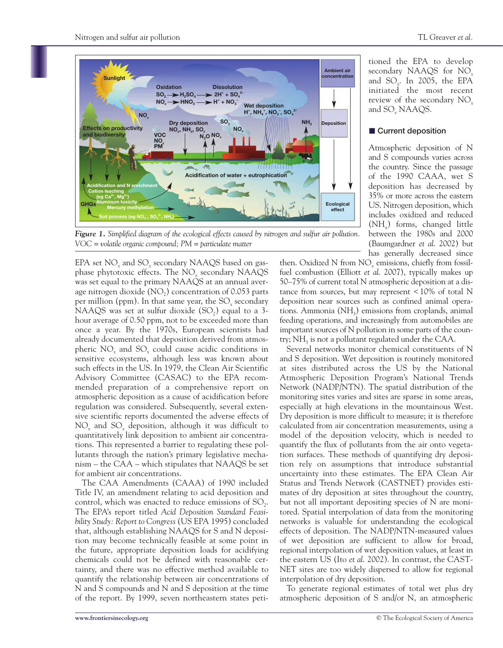

tioned the EPA to develop secondary NAAQS for NO*<sup>x</sup>* and SO*x*. In 2005, the EPA initiated the most recent review of the secondary NO*<sup>x</sup>* and SO*<sup>x</sup>* NAAQS.

#### **n** Current deposition

Atmospheric deposition of N and S compounds varies across the country. Since the passage of the 1990 CAAA, wet S deposition has decreased by 35% or more across the eastern US. Nitrogen deposition, which includes oxidized and reduced  $(NH<sub>x</sub>)$  forms, changed little between the 1980s and 2000 (Baumgardner *et al*. 2002) but has generally decreased since

*Figure 1. Simplified diagram of the ecological effects caused by nitrogen and sulfur air pollution. VOC = volatile organic compound; PM = particulate matter*

EPA set NO<sub>x</sub> and SO<sub>x</sub> secondary NAAQS based on gasphase phytotoxic effects. The NO*<sup>x</sup>* secondary NAAQS was set equal to the primary NAAQS at an annual average nitrogen dioxide  $(NO<sub>2</sub>)$  concentration of 0.053 parts per million (ppm). In that same year, the SO<sub>x</sub> secondary NAAQS was set at sulfur dioxide  $(SO<sub>2</sub>)$  equal to a 3hour average of 0.50 ppm, not to be exceeded more than once a year. By the 1970s, European scientists had already documented that deposition derived from atmospheric NO*<sup>x</sup>* and SO*<sup>x</sup>* could cause acidic conditions in sensitive ecosystems, although less was known about such effects in the US. In 1979, the Clean Air Scientific Advisory Committee (CASAC) to the EPA recommended preparation of a comprehensive report on atmospheric deposition as a cause of acidification before regulation was considered. Subsequently, several extensive scientific reports documented the adverse effects of NO*<sup>x</sup>* and SO*<sup>x</sup>* deposition, although it was difficult to quantitatively link deposition to ambient air concentrations. This represented a barrier to regulating these pollutants through the nation's primary legislative mechanism – the CAA – which stipulates that NAAQS be set for ambient air concentrations.

The CAA Amendments (CAAA) of 1990 included Title IV, an amendment relating to acid deposition and control, which was enacted to reduce emissions of  $SO<sub>2</sub>$ . The EPA's report titled *Acid Deposition Standard Feasibility Study: Report to Congress* (US EPA 1995) concluded that, although establishing NAAQS for S and N deposition may become technically feasible at some point in the future, appropriate deposition loads for acidifying chemicals could not be defined with reasonable certainty, and there was no effective method available to quantify the relationship between air concentrations of N and S compounds and N and S deposition at the time of the report. By 1999, seven northeastern states peti-

then. Oxidized N from NO*<sup>x</sup>* emissions, chiefly from fossilfuel combustion (Elliott *et al*. 2007), typically makes up 50–75% of current total N atmospheric deposition at a distance from sources, but may represent < 10% of total N deposition near sources such as confined animal operations. Ammonia  $(NH<sub>3</sub>)$  emissions from croplands, animal feeding operations, and increasingly from automobiles are important sources of N pollution in some parts of the country;  $NH<sub>3</sub>$  is not a pollutant regulated under the CAA.

Several networks monitor chemical constituents of N and S deposition. Wet deposition is routinely monitored at sites distributed across the US by the National Atmospheric Deposition Program's National Trends Network (NADP/NTN). The spatial distribution of the monitoring sites varies and sites are sparse in some areas, especially at high elevations in the mountainous West. Dry deposition is more difficult to measure; it is therefore calculated from air concentration measurements, using a model of the deposition velocity, which is needed to quantify the flux of pollutants from the air onto vegetation surfaces. These methods of quantifying dry deposition rely on assumptions that introduce substantial uncertainty into these estimates. The EPA Clean Air Status and Trends Network (CASTNET) provides estimates of dry deposition at sites throughout the country, but not all important depositing species of N are monitored. Spatial interpolation of data from the monitoring networks is valuable for understanding the ecological effects of deposition. The NADP/NTN-measured values of wet deposition are sufficient to allow for broad, regional interpolation of wet deposition values, at least in the eastern US (Ito *et al*. 2002). In contrast, the CAST-NET sites are too widely dispersed to allow for regional interpolation of dry deposition.

To generate regional estimates of total wet plus dry atmospheric deposition of S and/or N, an atmospheric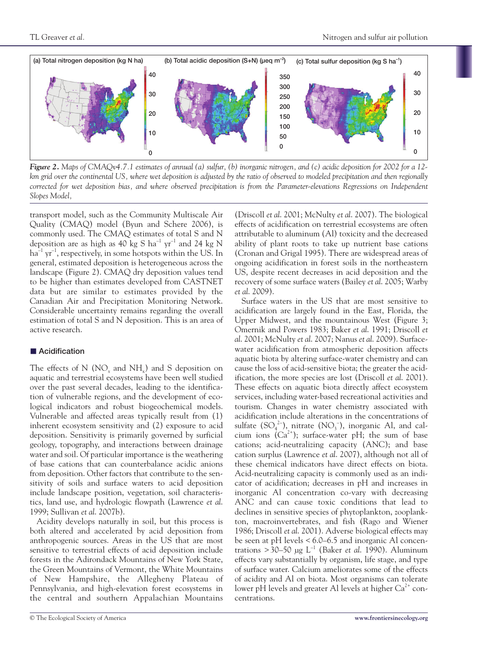

*Figure 2. Maps of CMAQv4.7.1 estimates of annual (a) sulfur, (b) inorganic nitrogen, and (c) acidic deposition for 2002 for a 12 km grid over the continental US, where wet deposition is adjusted by the ratio of observed to modeled precipitation and then regionally corrected for wet deposition bias, and where observed precipitation is from the Parameter-elevations Regressions on Independent Slopes Model,*

transport model, such as the Community Multiscale Air Quality (CMAQ) model (Byun and Schere 2006), is commonly used. The CMAQ estimates of total S and N deposition are as high as 40 kg S ha $^{-1}$  yr $^{-1}$  and 24 kg N  $\rm{ha}^{-1}$  yr $^{-1}$ , respectively, in some hotspots within the US. In general, estimated deposition is heterogeneous across the landscape (Figure 2). CMAQ dry deposition values tend to be higher than estimates developed from CASTNET data but are similar to estimates provided by the Canadian Air and Precipitation Monitoring Network. Considerable uncertainty remains regarding the overall estimation of total S and N deposition. This is an area of active research.

#### ■ Acidification

The effects of N  $(NO<sub>x</sub>$  and NH<sub>x</sub>) and S deposition on aquatic and terrestrial ecosystems have been well studied over the past several decades, leading to the identification of vulnerable regions, and the development of ecological indicators and robust biogeochemical models. Vulnerable and affected areas typically result from (1) inherent ecosystem sensitivity and (2) exposure to acid deposition. Sensitivity is primarily governed by surficial geology, topography, and interactions between drainage water and soil. Of particular importance is the weathering of base cations that can counterbalance acidic anions from deposition. Other factors that contribute to the sensitivity of soils and surface waters to acid deposition include landscape position, vegetation, soil characteristics, land use, and hydrologic flowpath (Lawrence *et al*. 1999; Sullivan *et al*. 2007b).

Acidity develops naturally in soil, but this process is both altered and accelerated by acid deposition from anthropogenic sources. Areas in the US that are most sensitive to terrestrial effects of acid deposition include forests in the Adirondack Mountains of New York State, the Green Mountains of Vermont, the White Mountains of New Hampshire, the Allegheny Plateau of Pennsylvania, and high-elevation forest ecosystems in the central and southern Appalachian Mountains

(Driscoll *et al*. 2001; McNulty *et al*. 2007). The biological effects of acidification on terrestrial ecosystems are often attributable to aluminum (Al) toxicity and the decreased ability of plant roots to take up nutrient base cations (Cronan and Grigal 1995). There are widespread areas of ongoing acidification in forest soils in the northeastern US, despite recent decreases in acid deposition and the recovery of some surface waters (Bailey *et al*. 2005; Warby *et al*. 2009).

Surface waters in the US that are most sensitive to acidification are largely found in the East, Florida, the Upper Midwest, and the mountainous West (Figure 3; Omernik and Powers 1983; Baker *et al*. 1991; Driscoll *et al*. 2001; McNulty *et al*. 2007; Nanus *et al*. 2009). Surfacewater acidification from atmospheric deposition affects aquatic biota by altering surface-water chemistry and can cause the loss of acid-sensitive biota; the greater the acidification, the more species are lost (Driscoll *et al*. 2001). These effects on aquatic biota directly affect ecosystem services, including water-based recreational activities and tourism. Changes in water chemistry associated with acidification include alterations in the concentrations of sulfate  $(SO_4^2$ <sup>-</sup>), nitrate  $(NO_3^-)$ , inorganic Al, and calcium ions  $(Ca^{2+})$ ; surface-water pH; the sum of base cations; acid-neutralizing capacity (ANC); and base cation surplus (Lawrence *et al*. 2007), although not all of these chemical indicators have direct effects on biota. Acid-neutralizing capacity is commonly used as an indicator of acidification; decreases in pH and increases in inorganic Al concentration co-vary with decreasing ANC and can cause toxic conditions that lead to declines in sensitive species of phytoplankton, zooplankton, macroinvertebrates, and fish (Rago and Wiener 1986; Driscoll *et al*. 2001). Adverse biological effects may be seen at pH levels < 6.0–6.5 and inorganic Al concentrations  $>$  30–50 µg L<sup>-1</sup> (Baker *et al.* 1990). Aluminum effects vary substantially by organism, life stage, and type of surface water. Calcium ameliorates some of the effects of acidity and Al on biota. Most organisms can tolerate lower pH levels and greater Al levels at higher  $Ca^{2+}$  concentrations.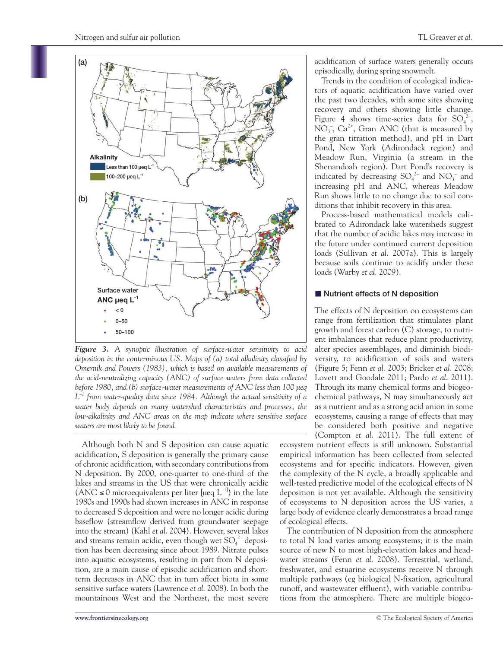

Trends in the condition of ecological indicators of aquatic acidification have varied over the past two decades, with some sites showing recovery and others showing little change. Figure 4 shows time-series data for  $SO_4^2$ ,  $NO_3^-$ ,  $Ca^{2+}$ , Gran ANC (that is measured by the gran titration method), and pH in Dart Pond, New York (Adirondack region) and Meadow Run, Virginia (a stream in the Shenandoah region). Dart Pond's recovery is indicated by decreasing  $SO_4^2$  and  $NO_3^-$  and increasing pH and ANC, whereas Meadow Run shows little to no change due to soil conditions that inhibit recovery in this area.

Process-based mathematical models calibrated to Adirondack lake watersheds suggest that the number of acidic lakes may increase in the future under continued current deposition loads (Sullivan *et al*. 2007a). This is largely because soils continue to acidify under these loads (Warby *et al*. 2009).

#### ■ Nutrient effects of N deposition

The effects of N deposition on ecosystems can range from fertilization that stimulates plant growth and forest carbon (C) storage, to nutrient imbalances that reduce plant productivity, alter species assemblages, and diminish biodiversity, to acidification of soils and waters (Figure 5; Fenn *et al*. 2003; Bricker *et al*. 2008; Lovett and Goodale 2011; Pardo *et al*. 2011). Through its many chemical forms and biogeochemical pathways, N may simultaneously act as a nutrient and as a strong acid anion in some ecosystems, causing a range of effects that may be considered both positive and negative (Compton *et al*. 2011). The full extent of

ecosystem nutrient effects is still unknown. Substantial empirical information has been collected from selected ecosystems and for specific indicators. However, given the complexity of the N cycle, a broadly applicable and well-tested predictive model of the ecological effects of N deposition is not yet available. Although the sensitivity of ecosystems to N deposition across the US varies, a large body of evidence clearly demonstrates a broad range of ecological effects.

The contribution of N deposition from the atmosphere to total N load varies among ecosystems; it is the main source of new N to most high-elevation lakes and headwater streams (Fenn *et al*. 2008). Terrestrial, wetland, freshwater, and estuarine ecosystems receive N through multiple pathways (eg biological N-fixation, agricultural runoff, and wastewater effluent), with variable contributions from the atmosphere. There are multiple biogeo-



Although both N and S deposition can cause aquatic acidification, S deposition is generally the primary cause of chronic acidification, with secondary contributions from N deposition. By 2000, one-quarter to one-third of the lakes and streams in the US that were chronically acidic (ANC  $\leq$  0 microequivalents per liter [µeq  $L^{-1}$ ] in the late 1980s and 1990s had shown increases in ANC in response to decreased S deposition and were no longer acidic during baseflow (streamflow derived from groundwater seepage into the stream) (Kahl *et al*. 2004). However, several lakes and streams remain acidic, even though wet  $\mathrm{SO}_4^{\ 2-}$  deposition has been decreasing since about 1989. Nitrate pulses into aquatic ecosystems, resulting in part from N deposition, are a main cause of episodic acidification and shortterm decreases in ANC that in turn affect biota in some sensitive surface waters (Lawrence *et al*. 2008). In both the mountainous West and the Northeast, the most severe

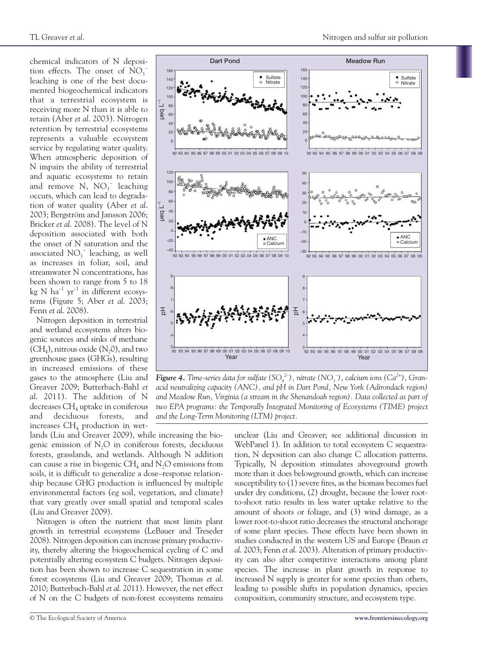chemical indicators of N deposition effects. The onset of  $NO<sub>3</sub>$ leaching is one of the best documented biogeochemical indicators that a terrestrial ecosystem is receiving more N than it is able to retain (Aber *et al*. 2003). Nitrogen retention by terrestrial ecosystems represents a valuable ecosystem service by regulating water quality. When atmospheric deposition of N impairs the ability of terrestrial and aquatic ecosystems to retain and remove  $N$ ,  $NO<sub>3</sub><sup>-</sup>$  leaching occurs, which can lead to degradation of water quality (Aber *et al*. 2003; Bergström and Jansson 2006; Bricker *et al*. 2008). The level of N deposition associated with both the onset of N saturation and the associated  $NO_3^-$  leaching, as well as increases in foliar, soil, and streamwater N concentrations, has been shown to range from 5 to 18  $\text{kg N ha}^{-1} \text{ yr}^{-1}$  in different ecosystems (Figure 5; Aber *et al*. 2003; Fenn *et al*. 2008).

Nitrogen deposition in terrestrial and wetland ecosystems alters biogenic sources and sinks of methane  $(CH<sub>4</sub>)$ , nitrous oxide  $(N<sub>2</sub>0)$ , and two greenhouse gases (GHGs), resulting in increased emissions of these gases to the atmosphere (Liu and Greaver 2009; Butterbach-Bahl *et al*. 2011). The addition of N decreases CH<sub>4</sub> uptake in coniferous<br>and deciduous forests, and and deciduous forests, and increases  $CH<sub>4</sub>$  production in wet-



 $Figure~4$ . *Time-series data for sulfate* (SO $_4^{2-}$ ), nitrate (NO<sub>3</sub><sup>-</sup>), calcium ions (Ca<sup>2+</sup>), Gran*acid neutralizing capacity (ANC), and pH in Dart Pond, New York (Adirondack region) and Meadow Run, Virginia (a stream in the Shenandoah region). Data collected as part of two EPA programs: the Temporally Integrated Monitoring of Ecosystems (TIME) project and the Long-Term Monitoring (LTM) project.*

lands (Liu and Greaver 2009), while increasing the biogenic emission of  $N_2O$  in coniferous forests, deciduous forests, grasslands, and wetlands. Although N addition can cause a rise in biogenic  $CH<sub>4</sub>$  and N<sub>2</sub>O emissions from soils, it is difficult to generalize a dose–response relationship because GHG production is influenced by multiple environmental factors (eg soil, vegetation, and climate) that vary greatly over small spatial and temporal scales (Liu and Greaver 2009).

Nitrogen is often the nutrient that most limits plant growth in terrestrial ecosystems (LeBauer and Treseder 2008). Nitrogen deposition can increase primary productivity, thereby altering the biogeochemical cycling of C and potentially altering ecosystem C budgets. Nitrogen deposition has been shown to increase C sequestration in some forest ecosystems (Liu and Greaver 2009; Thomas *et al*. 2010; Butterbach-Bahl *et al*. 2011). However, the net effect of N on the C budgets of non-forest ecosystems remains

unclear (Liu and Greaver; see additional discussion in WebPanel 1). In addition to total ecosystem C sequestration, N deposition can also change C allocation patterns. Typically, N deposition stimulates aboveground growth more than it does belowground growth, which can increase susceptibility to (1) severe fires, as the biomass becomes fuel under dry conditions, (2) drought, because the lower rootto-shoot ratio results in less water uptake relative to the amount of shoots or foliage, and (3) wind damage, as a lower root-to-shoot ratio decreases the structural anchorage of some plant species. These effects have been shown in studies conducted in the western US and Europe (Braun *et al*. 2003; Fenn *et al*. 2003). Alteration of primary productivity can also alter competitive interactions among plant species. The increase in plant growth in response to increased N supply is greater for some species than others, leading to possible shifts in population dynamics, species composition, community structure, and ecosystem type.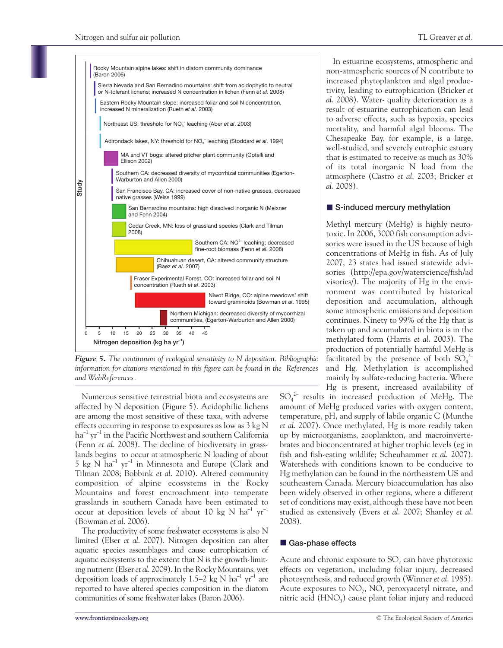

*Figure 5. The continuum of ecological sensitivity to N deposition. Bibliographic information for citations mentioned in this figure can be found in the References and WebReferences.* 

Numerous sensitive terrestrial biota and ecosystems are affected by N deposition (Figure 5). Acidophilic lichens are among the most sensitive of these taxa, with adverse effects occurring in response to exposures as low as 3 kg N ha $^{-1}$  yr $^{-1}$  in the Pacific Northwest and southern California (Fenn *et al*. 2008). The decline of biodiversity in grasslands begins to occur at atmospheric N loading of about 5 kg N ha<sup>-1</sup> yr<sup>-1</sup> in Minnesota and Europe (Clark and Tilman 2008; Bobbink *et al*. 2010). Altered community composition of alpine ecosystems in the Rocky Mountains and forest encroachment into temperate grasslands in southern Canada have been estimated to occur at deposition levels of about 10 kg N  $ha^{-1}$   $yr^{-1}$ (Bowman *et al*. 2006).

The productivity of some freshwater ecosystems is also N limited (Elser *et al*. 2007). Nitrogen deposition can alter aquatic species assemblages and cause eutrophication of aquatic ecosystems to the extent that N is the growth-limiting nutrient (Elser *et al*. 2009). In the Rocky Mountains, wet deposition loads of approximately 1.5–2 kg N  $\rm{ha^{\text{-}1} \ yr^{\text{-}1}}$  are reported to have altered species composition in the diatom communities of some freshwater lakes (Baron 2006).

In estuarine ecosystems, atmospheric and non-atmospheric sources of N contribute to increased phytoplankton and algal productivity, leading to eutrophication (Bricker *et al*. 2008). Water- quality deterioration as a result of estuarine eutrophication can lead to adverse effects, such as hypoxia, species mortality, and harmful algal blooms. The Chesapeake Bay, for example, is a large, well-studied, and severely eutrophic estuary that is estimated to receive as much as 30% of its total inorganic N load from the atmosphere (Castro *et al*. 2003; Bricker *et al*. 2008).

#### ■ S-induced mercury methylation

Methyl mercury (MeHg) is highly neurotoxic. In 2006, 3000 fish consumption advisories were issued in the US because of high concentrations of MeHg in fish. As of July 2007, 23 states had issued statewide advisories (http://epa.gov/waterscience/fish/ad visories/). The majority of Hg in the environment was contributed by historical deposition and accumulation, although some atmospheric emissions and deposition continues. Ninety to 99% of the Hg that is taken up and accumulated in biota is in the methylated form (Harris *et al*. 2003). The production of potentially harmful MeHg is facilitated by the presence of both  $SO_4^2$ and Hg. Methylation is accomplished mainly by sulfate-reducing bacteria. Where Hg is present, increased availability of

 $SO_4^2$  results in increased production of MeHg. The amount of MeHg produced varies with oxygen content, temperature, pH, and supply of labile organic C (Munthe *et al*. 2007). Once methylated, Hg is more readily taken up by microorganisms, zooplankton, and macroinvertebrates and bioconcentrated at higher trophic levels (eg in fish and fish-eating wildlife; Scheuhammer *et al*. 2007). Watersheds with conditions known to be conducive to Hg methylation can be found in the northeastern US and southeastern Canada. Mercury bioaccumulation has also been widely observed in other regions, where a different set of conditions may exist, although these have not been studied as extensively (Evers *et al*. 2007; Shanley *et al*. 2008).

#### ■ Gas-phase effects

Acute and chronic exposure to  $SO<sub>2</sub>$  can have phytotoxic effects on vegetation, including foliar injury, decreased photosynthesis, and reduced growth (Winner *et al*. 1985). Acute exposures to  $NO<sub>2</sub>$ , NO, peroxyacetyl nitrate, and nitric acid  $(HNO<sub>3</sub>)$  cause plant foliar injury and reduced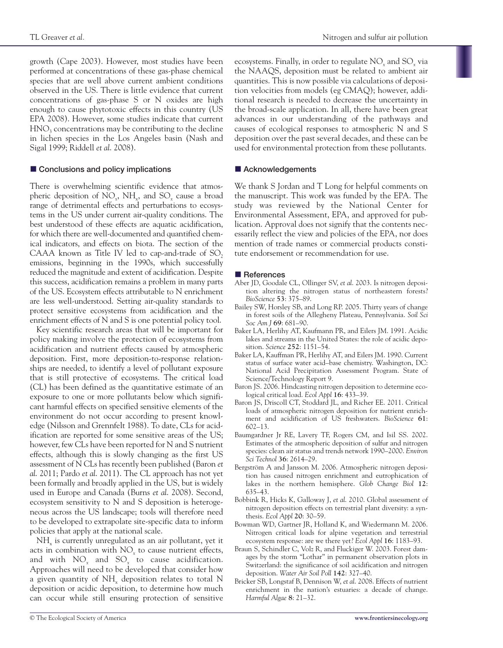growth (Cape 2003). However, most studies have been performed at concentrations of these gas-phase chemical species that are well above current ambient conditions observed in the US. There is little evidence that current concentrations of gas-phase S or N oxides are high enough to cause phytotoxic effects in this country (US EPA 2008). However, some studies indicate that current HNO<sub>3</sub> concentrations may be contributing to the decline in lichen species in the Los Angeles basin (Nash and Sigal 1999; Riddell *et al*. 2008).

#### ■ Conclusions and policy implications

There is overwhelming scientific evidence that atmospheric deposition of NO<sub>x</sub>, NH<sub>x</sub>, and SO<sub>x</sub> cause a broad range of detrimental effects and perturbations to ecosystems in the US under current air-quality conditions. The best understood of these effects are aquatic acidification, for which there are well-documented and quantified chemical indicators, and effects on biota. The section of the CAAA known as Title IV led to cap-and-trade of  $SO<sub>2</sub>$ emissions, beginning in the 1990s, which successfully reduced the magnitude and extent of acidification. Despite this success, acidification remains a problem in many parts of the US. Ecosystem effects attributable to N enrichment are less well-understood. Setting air-quality standards to protect sensitive ecosystems from acidification and the enrichment effects of N and S is one potential policy tool.

Key scientific research areas that will be important for policy making involve the protection of ecosystems from acidification and nutrient effects caused by atmospheric deposition. First, more deposition-to-response relationships are needed, to identify a level of pollutant exposure that is still protective of ecosystems. The critical load (CL) has been defined as the quantitative estimate of an exposure to one or more pollutants below which significant harmful effects on specified sensitive elements of the environment do not occur according to present knowledge (Nilsson and Grennfelt 1988). To date, CLs for acidification are reported for some sensitive areas of the US; however, few CLs have been reported for N and S nutrient effects, although this is slowly changing as the first US assessment of N CLs has recently been published (Baron *et al*. 2011; Pardo *et al*. 2011). The CL approach has not yet been formally and broadly applied in the US, but is widely used in Europe and Canada (Burns *et al*. 2008). Second, ecosystem sensitivity to N and S deposition is heterogeneous across the US landscape; tools will therefore need to be developed to extrapolate site-specific data to inform policies that apply at the national scale.

NH<sub>y</sub> is currently unregulated as an air pollutant, yet it acts in combination with NO<sub>x</sub> to cause nutrient effects, and with NO*<sup>x</sup>* and SO*<sup>x</sup>* to cause acidification. Approaches will need to be developed that consider how a given quantity of  $NH_x$  deposition relates to total N deposition or acidic deposition, to determine how much can occur while still ensuring protection of sensitive ecosystems. Finally, in order to regulate NO<sub>x</sub> and SO<sub>x</sub> via the NAAQS, deposition must be related to ambient air quantities. This is now possible via calculations of deposition velocities from models (eg CMAQ); however, additional research is needed to decrease the uncertainty in the broad-scale application. In all, there have been great advances in our understanding of the pathways and causes of ecological responses to atmospheric N and S deposition over the past several decades, and these can be used for environmental protection from these pollutants.

#### ■ Acknowledgements

We thank S Jordan and T Long for helpful comments on the manuscript. This work was funded by the EPA. The study was reviewed by the National Center for Environmental Assessment, EPA, and approved for publication. Approval does not signify that the contents necessarily reflect the view and policies of the EPA, nor does mention of trade names or commercial products constitute endorsement or recommendation for use.

#### n **References**

- Aber JD, Goodale CL, Ollinger SV, *et al*. 2003. Is nitrogen deposition altering the nitrogen status of northeastern forests? *BioScience* **53**: 375–89.
- Bailey SW, Horsley SB, and Long RP. 2005. Thirty years of change in forest soils of the Allegheny Plateau, Pennsylvania. *Soil Sci Soc Am J* **69**: 681–90.
- Baker LA, Herlihy AT, Kaufmann PR, and Eilers JM. 1991. Acidic lakes and streams in the United States: the role of acidic deposition. *Science* **252**: 1151–54.
- Baker LA, Kauffman PR, Herlihy AT, and Eilers JM. 1990. Current status of surface water acid–base chemistry. Washington, DC: National Acid Precipitation Assessment Program. State of Science/Technology Report 9.
- Baron JS. 2006. Hindcasting nitrogen deposition to determine ecological critical load. *Ecol Appl* **16**: 433–39.
- Baron JS, Driscoll CT, Stoddard JL, and Richer EE. 2011. Critical loads of atmospheric nitrogen deposition for nutrient enrichment and acidification of US freshwaters. *BioScience* **61**: 602–13.
- Baumgardner Jr RE, Lavery TF, Rogers CM, and Isil SS. 2002. Estimates of the atmospheric deposition of sulfur and nitrogen species: clean air status and trends network 1990–2000. *Environ Sci Technol* **36**: 2614–29.
- Bergström A and Jansson M. 2006. Atmospheric nitrogen deposition has caused nitrogen enrichment and eutrophication of lakes in the northern hemisphere. *Glob Change Biol* **12**: 635–43.
- Bobbink R, Hicks K, Galloway J, *et al*. 2010. Global assessment of nitrogen deposition effects on terrestrial plant diversity: a synthesis. *Ecol Appl* **20**: 30–59.
- Bowman WD, Gartner JR, Holland K, and Wiedermann M. 2006. Nitrogen critical loads for alpine vegetation and terrestrial ecosystem response: are we there yet? *Ecol Appl* **16**: 1183–93.
- Braun S, Schindler C, Volz R, and Fluckiger W. 2003. Forest damages by the storm "Lothar" in permanent observation plots in Switzerland: the significance of soil acidification and nitrogen deposition. *Water Air Soil Poll* **142**: 327–40.
- Bricker SB, Longstaf B, Dennison W, *et al*. 2008. Effects of nutrient enrichment in the nation's estuaries: a decade of change. *Harmful Algae* **8**: 21–32.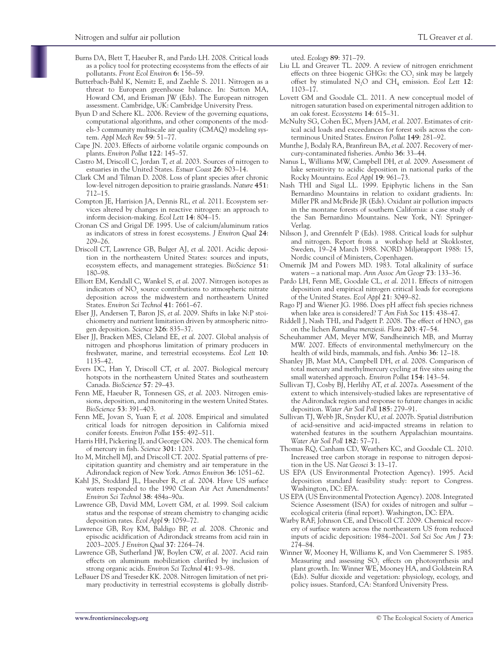- Burns DA, Blett T, Haeuber R, and Pardo LH. 2008. Critical loads as a policy tool for protecting ecosystems from the effects of air pollutants. *Front Ecol Environ* **6**: 156–59.
- Butterbach-Bahl K, Nemitz E, and Zaehle S. 2011. Nitrogen as a threat to European greenhouse balance. In: Sutton MA, Howard CM, and Erisman JW (Eds). The European nitrogen assessment. Cambridge, UK: Cambridge University Press.
- Byun D and Schere KL. 2006. Review of the governing equations, computational algorithms, and other components of the models-3 community multiscale air quality (CMAQ) modeling system. *Appl Mech Rev* **59**: 51–77.
- Cape JN. 2003. Effects of airborne volatile organic compounds on plants. *Environ Pollut* **122**: 145–57.
- Castro M, Driscoll C, Jordan T, *et al*. 2003. Sources of nitrogen to estuaries in the United States. *Estuar Coast* **26**: 803–14.
- Clark CM and Tilman D. 2008. Loss of plant species after chronic low-level nitrogen deposition to prairie grasslands. *Nature* **451**: 712–15.
- Compton JE, Harrision JA, Dennis RL, *et al*. 2011. Ecosystem services altered by changes in reactive nitrogen: an approach to inform decision-making. *Ecol Lett* **14**: 804–15.
- Cronan CS and Grigal DF. 1995. Use of calcium/aluminum ratios as indicators of stress in forest ecosystems. *J Environ Qual* **24**: 209–26.
- Driscoll CT, Lawrence GB, Bulger AJ, *et al*. 2001. Acidic deposition in the northeastern United States: sources and inputs, ecosystem effects, and management strategies. *BioScience* **51**: 180–98.
- Elliott EM, Kendall C, Wankel S, *et al*. 2007. Nitrogen isotopes as indicators of NO*<sup>x</sup>* source contributions to atmospheric nitrate deposition across the midwestern and northeastern United States. *Environ Sci Technol* **41**: 7661–67.
- Elser JJ, Andersen T, Baron JS, *et al*. 2009. Shifts in lake N:P stoichiometry and nutrient limitation driven by atmospheric nitrogen deposition. *Science* **326**: 835–37.
- Elser JJ, Bracken MES, Cleland EE, *et al*. 2007. Global analysis of nitrogen and phosphorus limitation of primary producers in freshwater, marine, and terrestrial ecosystems. *Ecol Lett* **10**: 1135–42.
- Evers DC, Han Y, Driscoll CT, *et al*. 2007. Biological mercury hotspots in the northeastern United States and southeastern Canada. *BioScience* **57**: 29–43.
- Fenn ME, Haeuber R, Tonnesen GS, *et al*. 2003. Nitrogen emissions, deposition, and monitoring in the western United States. *BioScience* **53**: 391–403.
- Fenn ME, Jovan S, Yuan F, *et al*. 2008. Empirical and simulated critical loads for nitrogen deposition in California mixed conifer forests. *Environ Pollut* **155**: 492–511.
- Harris HH, Pickering IJ, and George GN. 2003. The chemical form of mercury in fish. *Science* **301**: 1203.
- Ito M, Mitchell MJ, and Driscoll CT. 2002. Spatial patterns of precipitation quantity and chemistry and air temperature in the Adirondack region of New York. *Atmos Environ* **36**: 1051–62.
- Kahl JS, Stoddard JL, Haeuber R, *et al*. 2004. Have US surface waters responded to the 1990 Clean Air Act Amendments? *Environ Sci Technol* **38**: 484a–90a.
- Lawrence GB, David MM, Lovett GM, *et al*. 1999. Soil calcium status and the response of stream chemistry to changing acidic deposition rates. *Ecol Appl* **9**: 1059–72.
- Lawrence GB, Roy KM, Baldigo BP, *et al*. 2008. Chronic and episodic acidification of Adirondack streams from acid rain in 2003–2005. *J Environ Qual* **37**: 2264–74.
- Lawrence GB, Sutherland JW, Boylen CW, *et al*. 2007. Acid rain effects on aluminum mobilization clarified by inclusion of strong organic acids. *Environ Sci Technol* **41**: 93–98.
- LeBauer DS and Treseder KK. 2008. Nitrogen limitation of net primary productivity in terrestrial ecosystems is globally distrib-

uted. *Ecology* **89**: 371–79.

- Liu LL and Greaver TL. 2009. A review of nitrogen enrichment effects on three biogenic GHGs: the CO<sub>2</sub> sink may be largely offset by stimulated N2O and CH4 emission. *Ecol Lett* **12**: 1103–17.
- Lovett GM and Goodale CL. 2011. A new conceptual model of nitrogen saturation based on experimental nitrogen addition to an oak forest. *Ecosystems* **14**: 615–31.
- McNulty SG, Cohen EC, Myers JAM, *et al*. 2007. Estimates of critical acid loads and exceedances for forest soils across the conterminous United States. *Environ Pollut* **149**: 281–92.
- Munthe J, Bodaly RA, Branfireun BA, *et al*. 2007. Recovery of mercury-contaminated fisheries. *Ambio* **36**: 33–44.
- Nanus L, Williams MW, Campbell DH, *et al*. 2009. Assessment of lake sensitivity to acidic deposition in national parks of the Rocky Mountains. *Ecol Appl* **19**: 961–73.
- Nash THI and Sigal LL. 1999. Epiphytic lichens in the San Bernardino Mountains in relation to oxidant gradients. In: Miller PR and McBride JR (Eds). Oxidant air pollution impacts in the montane forests of southern California: a case study of the San Bernardino Mountains. New York, NY: Springer-Verlag.
- Nilsson J, and Grennfelt P (Eds). 1988. Critical loads for sulphur and nitrogen. Report from a workshop held at Skokloster, Sweden, 19–24 March 1988. NORD Miljørapport 1988: 15, Nordic council of Ministers, Copenhagen.
- Omernik JM and Powers MD. 1983. Total alkalinity of surface waters – a national map. *Ann Assoc Am Geogr* **73**: 133–36.
- Pardo LH, Fenn ME, Goodale CL, *et al*. 2011. Effects of nitrogen deposition and empirical nitrogen critical loads for ecoregions of the United States. *Ecol Appl* **21**: 3049–82.
- Rago PJ and Wiener JG. 1986. Does pH affect fish species richness when lake area is considered? *T Am Fish Soc* **115**: 438–47.
- Riddell J, Nash THI, and Padgett P. 2008. The effect of HNO<sub>3</sub> gas on the lichen *Ramalina menziesii*. *Flora* **203**: 47–54.
- Scheuhammer AM, Meyer MW, Sandheinrich MB, and Murray MW. 2007. Effects of environmental methylmercury on the health of wild birds, mammals, and fish. *Ambio* **36**: 12–18.
- Shanley JB, Mast MA, Campbell DH, *et al*. 2008. Comparison of total mercury and methylmercury cycling at five sites using the small watershed approach. *Environ Pollut* **154**: 143–54.
- Sullivan TJ, Cosby BJ, Herlihy AT, *et al*. 2007a. Assessment of the extent to which intensively-studied lakes are representative of the Adirondack region and response to future changes in acidic deposition. *Water Air Soil Poll* **185**: 279–91.
- Sullivan TJ, Webb JR, Snyder KU, *et al*. 2007b. Spatial distribution of acid-sensitive and acid-impacted streams in relation to watershed features in the southern Appalachian mountains. *Water Air Soil Poll* **182**: 57–71.
- Thomas RQ, Canham CD, Weathers KC, and Goodale CL. 2010. Increased tree carbon storage in response to nitrogen deposition in the US. *Nat Geosci* **3**: 13–17.
- US EPA (US Environmental Protection Agency). 1995. Acid deposition standard feasibility study: report to Congress. Washington, DC: EPA.
- US EPA (US Environmental Protection Agency). 2008. Integrated Science Assessment (ISA) for oxides of nitrogen and sulfur – ecological criteria (final report). Washington, DC: EPA.
- Warby RAF, Johnson CE, and Driscoll CT. 2009. Chemical recovery of surface waters across the northeastern US from reduced inputs of acidic deposition: 1984–2001. *Soil Sci Soc Am J* **73**: 274–84.
- Winner W, Mooney H, Williams K, and Von Caemmerer S. 1985. Measuring and assessing  $SO<sub>2</sub>$  effects on photosynthesis and plant growth. In: Winner WE, Mooney HA, and Goldstein RA (Eds). Sulfur dioxide and vegetation: physiology, ecology, and policy issues. Stanford, CA: Stanford University Press.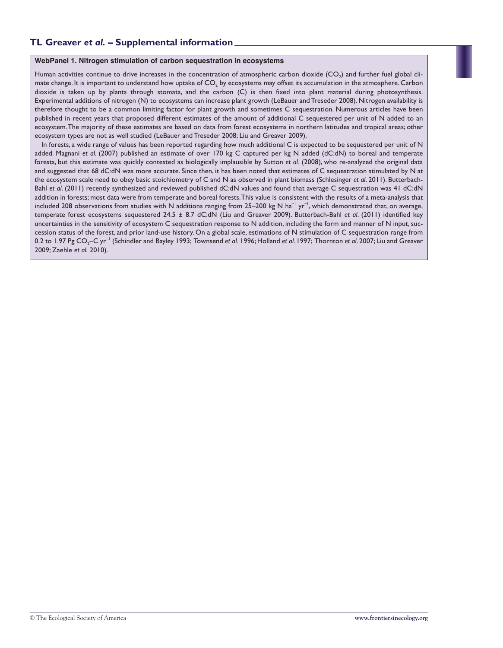#### **WebPanel 1. Nitrogen stimulation of carbon sequestration in ecosystems**

Human activities continue to drive increases in the concentration of atmospheric carbon dioxide  $(CO<sub>2</sub>)$  and further fuel global climate change. It is important to understand how uptake of  $CO<sub>2</sub>$  by ecosystems may offset its accumulation in the atmosphere. Carbon dioxide is taken up by plants through stomata, and the carbon (C) is then fixed into plant material during photosynthesis. Experimental additions of nitrogen (N) to ecosystems can increase plant growth (LeBauer and Treseder 2008). Nitrogen availability is therefore thought to be a common limiting factor for plant growth and sometimes C sequestration. Numerous articles have been published in recent years that proposed different estimates of the amount of additional C sequestered per unit of N added to an ecosystem. The majority of these estimates are based on data from forest ecosystems in northern latitudes and tropical areas; other ecosystem types are not as well studied (LeBauer and Treseder 2008; Liu and Greaver 2009).

In forests, a wide range of values has been reported regarding how much additional C is expected to be sequestered per unit of N added. Magnani *et al*. (2007) published an estimate of over 170 kg C captured per kg N added (dC:dN) to boreal and temperate forests, but this estimate was quickly contested as biologically implausible by Sutton *et al.* (2008), who re-analyzed the original data and suggested that 68 dC:dN was more accurate. Since then, it has been noted that estimates of C sequestration stimulated by N at the ecosystem scale need to obey basic stoichiometry of C and N as observed in plant biomass (Schlesinger *et al*. 2011). Butterbach-Bahl *et al*. (2011) recently synthesized and reviewed published dC:dN values and found that average C sequestration was 41 dC:dN addition in forests; most data were from temperate and boreal forests. This value is consistent with the results of a meta-analysis that included 208 observations from studies with N additions ranging from 25–200 kg N ha<sup>-1</sup> yr<sup>-1</sup>, which demonstrated that, on average, temperate forest ecosystems sequestered 24.5 ± 8.7 dC:dN (Liu and Greaver 2009). Butterbach-Bahl *et al*. (2011) identified key uncertainties in the sensitivity of ecosystem C sequestration response to N addition, including the form and manner of N input, succession status of the forest, and prior land-use history. On a global scale, estimations of N stimulation of C sequestration range from 0.2 to 1.97 Pg CO<sub>2</sub>–C yr<sup>-1</sup> (Schindler and Bayley 1993; Townsend *et al.* 1996; Holland *et al.* 1997; Thornton *et al.* 2007; Liu and Greaver 2009; Zaehle *et al.* 2010).